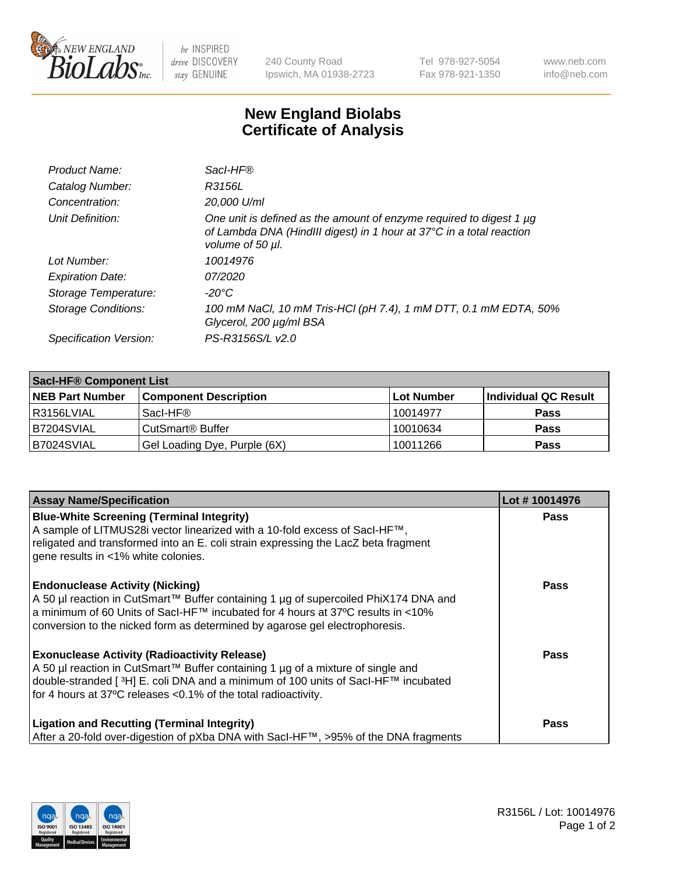

 $be$  INSPIRED drive DISCOVERY stay GENUINE

240 County Road Ipswich, MA 01938-2723 Tel 978-927-5054 Fax 978-921-1350 www.neb.com info@neb.com

## **New England Biolabs Certificate of Analysis**

| Product Name:              | Sacl-HF®                                                                                                                                                        |
|----------------------------|-----------------------------------------------------------------------------------------------------------------------------------------------------------------|
| Catalog Number:            | R3156L                                                                                                                                                          |
| Concentration:             | 20,000 U/ml                                                                                                                                                     |
| Unit Definition:           | One unit is defined as the amount of enzyme required to digest 1 µg<br>of Lambda DNA (HindIII digest) in 1 hour at 37°C in a total reaction<br>volume of 50 µl. |
| Lot Number:                | 10014976                                                                                                                                                        |
| <b>Expiration Date:</b>    | 07/2020                                                                                                                                                         |
| Storage Temperature:       | -20°C                                                                                                                                                           |
| <b>Storage Conditions:</b> | 100 mM NaCl, 10 mM Tris-HCl (pH 7.4), 1 mM DTT, 0.1 mM EDTA, 50%<br>Glycerol, 200 µg/ml BSA                                                                     |
| Specification Version:     | PS-R3156S/L v2.0                                                                                                                                                |

| <b>Saci-HF® Component List</b> |                              |             |                      |  |  |
|--------------------------------|------------------------------|-------------|----------------------|--|--|
| <b>NEB Part Number</b>         | <b>Component Description</b> | ∣Lot Number | Individual QC Result |  |  |
| l R3156LVIAL                   | Sacl-HF®                     | 10014977    | <b>Pass</b>          |  |  |
| B7204SVIAL                     | CutSmart <sup>®</sup> Buffer | 10010634    | <b>Pass</b>          |  |  |
| B7024SVIAL                     | Gel Loading Dye, Purple (6X) | 10011266    | <b>Pass</b>          |  |  |

| <b>Assay Name/Specification</b>                                                                                                                                                                                                                                                                            | Lot #10014976 |
|------------------------------------------------------------------------------------------------------------------------------------------------------------------------------------------------------------------------------------------------------------------------------------------------------------|---------------|
| <b>Blue-White Screening (Terminal Integrity)</b><br>A sample of LITMUS28i vector linearized with a 10-fold excess of SacI-HF™,<br>religated and transformed into an E. coli strain expressing the LacZ beta fragment<br>gene results in <1% white colonies.                                                | <b>Pass</b>   |
| <b>Endonuclease Activity (Nicking)</b><br>A 50 µl reaction in CutSmart™ Buffer containing 1 µg of supercoiled PhiX174 DNA and<br>a minimum of 60 Units of Sacl-HF™ incubated for 4 hours at 37°C results in <10%<br>conversion to the nicked form as determined by agarose gel electrophoresis.            | Pass          |
| <b>Exonuclease Activity (Radioactivity Release)</b><br>A 50 µl reaction in CutSmart™ Buffer containing 1 µg of a mixture of single and<br>double-stranded [ <sup>3</sup> H] E. coli DNA and a minimum of 100 units of Sacl-HF™ incubated<br>for 4 hours at 37°C releases <0.1% of the total radioactivity. | Pass          |
| <b>Ligation and Recutting (Terminal Integrity)</b><br>After a 20-fold over-digestion of pXba DNA with Sacl-HF™, >95% of the DNA fragments                                                                                                                                                                  | Pass          |